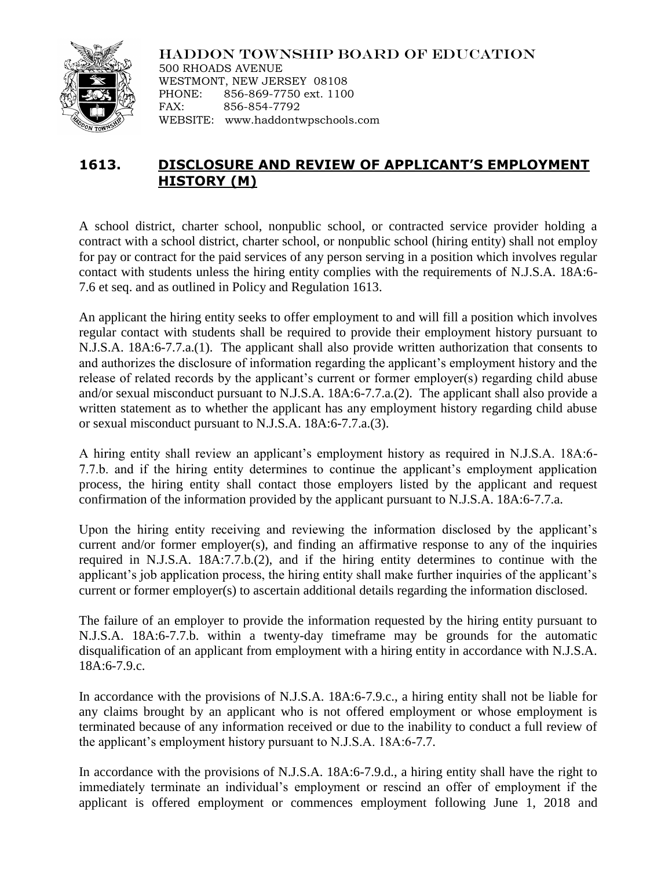

HADDON TOWNSHIP BOARD OF EDUCATION 500 RHOADS AVENUE WESTMONT, NEW JERSEY 08108 PHONE: 856-869-7750 ext. 1100

FAX: 856-854-7792 WEBSITE: www.haddontwpschools.com

## **1613. DISCLOSURE AND REVIEW OF APPLICANT'S EMPLOYMENT HISTORY (M)**

A school district, charter school, nonpublic school, or contracted service provider holding a contract with a school district, charter school, or nonpublic school (hiring entity) shall not employ for pay or contract for the paid services of any person serving in a position which involves regular contact with students unless the hiring entity complies with the requirements of N.J.S.A. 18A:6- 7.6 et seq. and as outlined in Policy and Regulation 1613.

An applicant the hiring entity seeks to offer employment to and will fill a position which involves regular contact with students shall be required to provide their employment history pursuant to N.J.S.A. 18A:6-7.7.a.(1). The applicant shall also provide written authorization that consents to and authorizes the disclosure of information regarding the applicant's employment history and the release of related records by the applicant's current or former employer(s) regarding child abuse and/or sexual misconduct pursuant to N.J.S.A. 18A:6-7.7.a.(2). The applicant shall also provide a written statement as to whether the applicant has any employment history regarding child abuse or sexual misconduct pursuant to N.J.S.A. 18A:6-7.7.a.(3).

A hiring entity shall review an applicant's employment history as required in N.J.S.A. 18A:6- 7.7.b. and if the hiring entity determines to continue the applicant's employment application process, the hiring entity shall contact those employers listed by the applicant and request confirmation of the information provided by the applicant pursuant to N.J.S.A. 18A:6-7.7.a.

Upon the hiring entity receiving and reviewing the information disclosed by the applicant's current and/or former employer(s), and finding an affirmative response to any of the inquiries required in N.J.S.A. 18A:7.7.b.(2), and if the hiring entity determines to continue with the applicant's job application process, the hiring entity shall make further inquiries of the applicant's current or former employer(s) to ascertain additional details regarding the information disclosed.

The failure of an employer to provide the information requested by the hiring entity pursuant to N.J.S.A. 18A:6-7.7.b. within a twenty-day timeframe may be grounds for the automatic disqualification of an applicant from employment with a hiring entity in accordance with N.J.S.A. 18A:6-7.9.c.

In accordance with the provisions of N.J.S.A. 18A:6-7.9.c., a hiring entity shall not be liable for any claims brought by an applicant who is not offered employment or whose employment is terminated because of any information received or due to the inability to conduct a full review of the applicant's employment history pursuant to N.J.S.A. 18A:6-7.7.

In accordance with the provisions of N.J.S.A. 18A:6-7.9.d., a hiring entity shall have the right to immediately terminate an individual's employment or rescind an offer of employment if the applicant is offered employment or commences employment following June 1, 2018 and